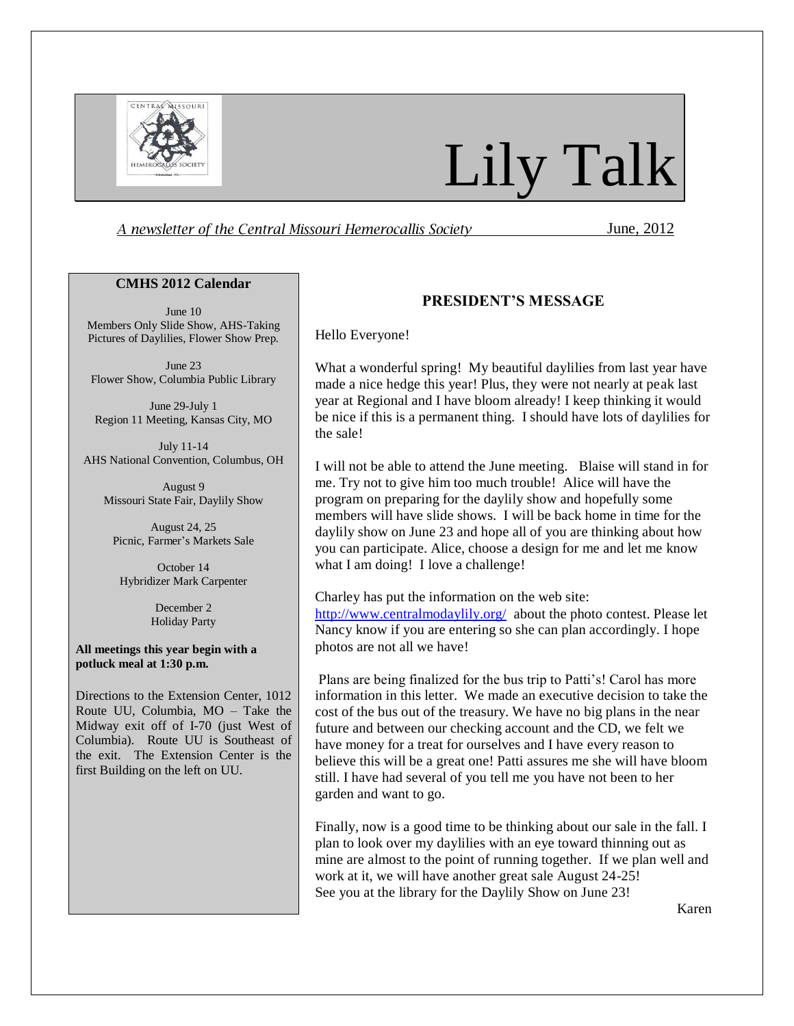

# Lily Talk

A newsletter of the Central Missouri Hemerocallis Society **Fig. 2012** June, 2012

#### **CMHS 2012 Calendar**

June 10 Members Only Slide Show, AHS-Taking Pictures of Daylilies, Flower Show Prep.

June 23 Flower Show, Columbia Public Library

June 29-July 1 Region 11 Meeting, Kansas City, MO

July 11-14 AHS National Convention, Columbus, OH

August 9 Missouri State Fair, Daylily Show

August 24, 25 Picnic, Farmer's Markets Sale

October 14 Hybridizer Mark Carpenter

> December 2 Holiday Party

#### **All meetings this year begin with a potluck meal at 1:30 p.m.**

Directions to the Extension Center, 1012 Route UU, Columbia, MO – Take the Midway exit off of I-70 (just West of Columbia). Route UU is Southeast of the exit. The Extension Center is the first Building on the left on UU.

#### **PRESIDENT'S MESSAGE**

Hello Everyone!

What a wonderful spring! My beautiful daylilies from last year have made a nice hedge this year! Plus, they were not nearly at peak last year at Regional and I have bloom already! I keep thinking it would be nice if this is a permanent thing. I should have lots of daylilies for the sale!

I will not be able to attend the June meeting. Blaise will stand in for me. Try not to give him too much trouble! Alice will have the program on preparing for the daylily show and hopefully some members will have slide shows. I will be back home in time for the daylily show on June 23 and hope all of you are thinking about how you can participate. Alice, choose a design for me and let me know what I am doing! I love a challenge!

Charley has put the information on the web site: <http://www.centralmodaylily.org/>about the photo contest. Please let Nancy know if you are entering so she can plan accordingly. I hope photos are not all we have!

Plans are being finalized for the bus trip to Patti's! Carol has more information in this letter. We made an executive decision to take the cost of the bus out of the treasury. We have no big plans in the near future and between our checking account and the CD, we felt we have money for a treat for ourselves and I have every reason to believe this will be a great one! Patti assures me she will have bloom still. I have had several of you tell me you have not been to her garden and want to go.

Finally, now is a good time to be thinking about our sale in the fall. I plan to look over my daylilies with an eye toward thinning out as mine are almost to the point of running together. If we plan well and work at it, we will have another great sale August 24-25! See you at the library for the Daylily Show on June 23!

Karen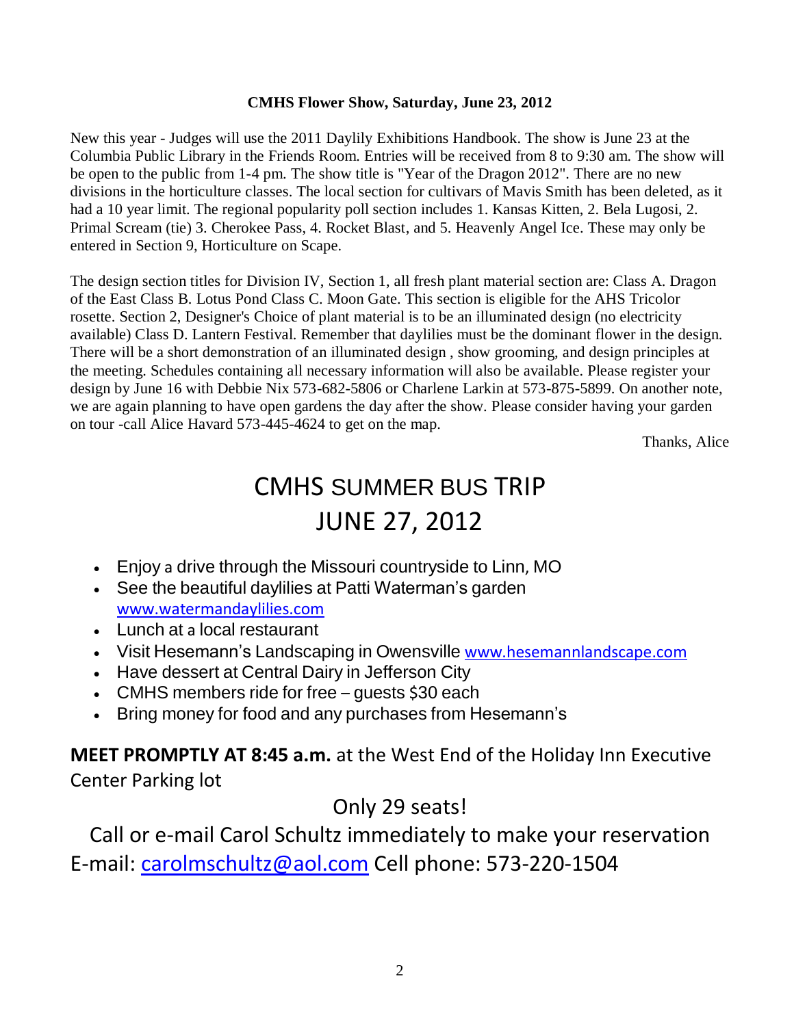#### **CMHS Flower Show, Saturday, June 23, 2012**

New this year - Judges will use the 2011 Daylily Exhibitions Handbook. The show is June 23 at the Columbia Public Library in the Friends Room. Entries will be received from 8 to 9:30 am. The show will be open to the public from 1-4 pm. The show title is "Year of the Dragon 2012". There are no new divisions in the horticulture classes. The local section for cultivars of Mavis Smith has been deleted, as it had a 10 year limit. The regional popularity poll section includes 1. Kansas Kitten, 2. Bela Lugosi, 2. Primal Scream (tie) 3. Cherokee Pass, 4. Rocket Blast, and 5. Heavenly Angel Ice. These may only be entered in Section 9, Horticulture on Scape.

The design section titles for Division IV, Section 1, all fresh plant material section are: Class A. Dragon of the East Class B. Lotus Pond Class C. Moon Gate. This section is eligible for the AHS Tricolor rosette. Section 2, Designer's Choice of plant material is to be an illuminated design (no electricity available) Class D. Lantern Festival. Remember that daylilies must be the dominant flower in the design. There will be a short demonstration of an illuminated design , show grooming, and design principles at the meeting. Schedules containing all necessary information will also be available. Please register your design by June 16 with Debbie Nix 573-682-5806 or Charlene Larkin at 573-875-5899. On another note, we are again planning to have open gardens the day after the show. Please consider having your garden on tour -call Alice Havard 573-445-4624 to get on the map.

Thanks, Alice

## CMHS SUMMER BUS TRIP JUNE 27, 2012

- Enjoy a drive through the Missouri countryside to Linn, MO
- See the beautiful daylilies at Patti Waterman's garden [www.watermandaylilies.com](http://www.watermandaylilies.com/)
- Lunch at a local restaurant
- Visit Hesemann's Landscaping in Owensville [www.hesemannlandscape.com](http://www.hesemannlandscape.com/)
- Have dessert at Central Dairy in Jefferson City
- CMHS members ride for free quests \$30 each
- Bring money for food and any purchases from Hesemann's

**MEET PROMPTLY AT 8:45 a.m.** at the West End of the Holiday Inn Executive Center Parking lot

### Only 29 seats!

Call or e-mail Carol Schultz immediately to make your reservation E-mail: [carolmschultz@aol.com](mailto:carolmschultz@aol.com) Cell phone: 573-220-1504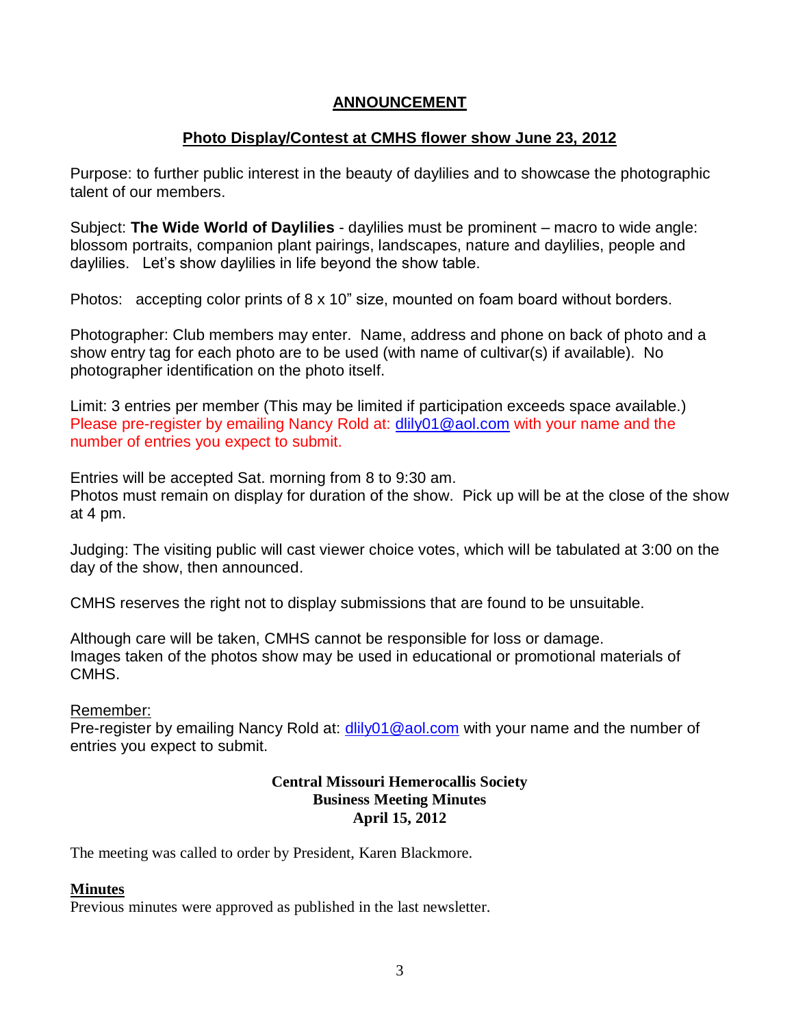#### **ANNOUNCEMENT**

#### **Photo Display/Contest at CMHS flower show June 23, 2012**

Purpose: to further public interest in the beauty of daylilies and to showcase the photographic talent of our members.

Subject: **The Wide World of Daylilies** - daylilies must be prominent – macro to wide angle: blossom portraits, companion plant pairings, landscapes, nature and daylilies, people and daylilies. Let's show daylilies in life beyond the show table.

Photos: accepting color prints of 8 x 10" size, mounted on foam board without borders.

Photographer: Club members may enter. Name, address and phone on back of photo and a show entry tag for each photo are to be used (with name of cultivar(s) if available). No photographer identification on the photo itself.

Limit: 3 entries per member (This may be limited if participation exceeds space available.) Please pre-register by emailing Nancy Rold at: [dlily01@aol.com](mailto:dlily01@aol.com) with your name and the number of entries you expect to submit.

Entries will be accepted Sat. morning from 8 to 9:30 am.

Photos must remain on display for duration of the show. Pick up will be at the close of the show at 4 pm.

Judging: The visiting public will cast viewer choice votes, which will be tabulated at 3:00 on the day of the show, then announced.

CMHS reserves the right not to display submissions that are found to be unsuitable.

Although care will be taken, CMHS cannot be responsible for loss or damage. Images taken of the photos show may be used in educational or promotional materials of CMHS.

#### Remember:

Pre-register by emailing Nancy Rold at: [dlily01@aol.com](mailto:dlily01@aol.com) with your name and the number of entries you expect to submit.

#### **Central Missouri Hemerocallis Society Business Meeting Minutes April 15, 2012**

The meeting was called to order by President, Karen Blackmore.

#### **Minutes**

Previous minutes were approved as published in the last newsletter.